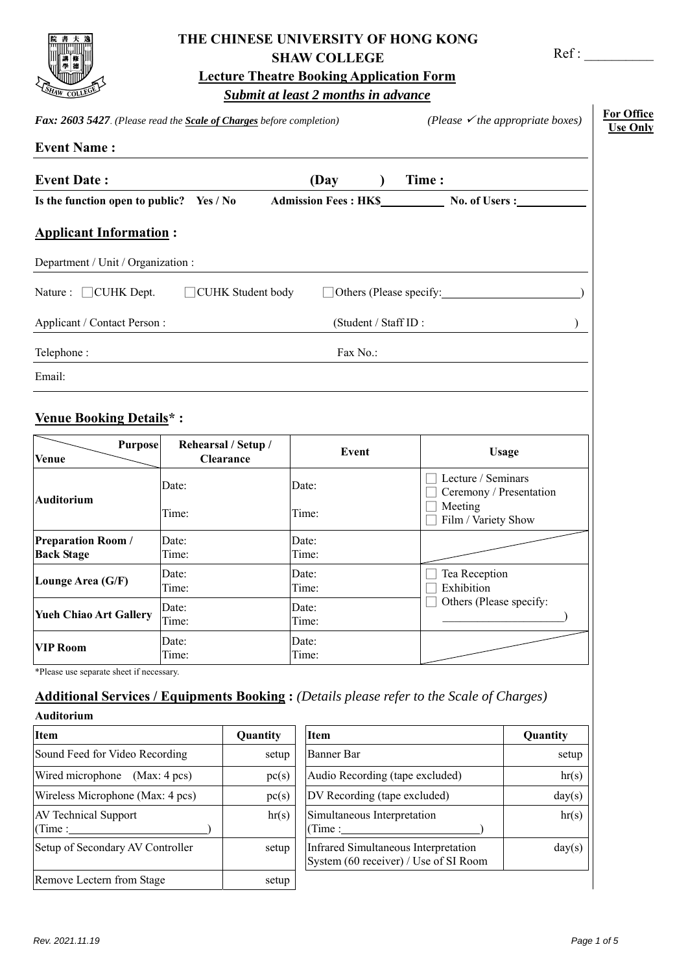

# **THE CHINESE UNIVERSITY OF HONG KONG SHAW COLLEGE**

Ref : \_\_\_\_\_\_\_\_\_\_

**Lecture Theatre Booking Application Form** 

# *Submit at least 2 months in advance*

| Fax: 2603 5427. (Please read the Scale of Charges before completion) |                                         |                      | (Please $\checkmark$ the appropriate boxes)                                     |
|----------------------------------------------------------------------|-----------------------------------------|----------------------|---------------------------------------------------------------------------------|
| <b>Event Name:</b>                                                   |                                         |                      |                                                                                 |
| <b>Event Date:</b>                                                   |                                         | (Day                 | Time:                                                                           |
| Is the function open to public? Yes / No                             |                                         |                      | <b>No. of Users :</b>                                                           |
| <b>Applicant Information:</b>                                        |                                         |                      |                                                                                 |
| Department / Unit / Organization :                                   |                                         |                      |                                                                                 |
| Nature : □ CUHK Dept.                                                | □ CUHK Student body                     |                      | □ Others (Please specify: <u>○ ○</u>                                            |
| Applicant / Contact Person:                                          |                                         | (Student / Staff ID: |                                                                                 |
| Telephone:                                                           |                                         | Fax No.:             |                                                                                 |
| Email:                                                               |                                         |                      |                                                                                 |
| <b>Venue Booking Details*:</b><br><b>Purpose</b><br><b>Venue</b>     | Rehearsal / Setup /<br><b>Clearance</b> | Event                | <b>Usage</b>                                                                    |
| Auditorium                                                           | Date:<br>Time:                          | Date:<br>Time:       | Lecture / Seminars<br>Ceremony / Presentation<br>Meeting<br>Film / Variety Show |
| <b>Preparation Room /</b><br><b>Back Stage</b>                       | Date:<br>Time:                          | Date:<br>Time:       |                                                                                 |
| Lounge Area (G/F)                                                    | Date:<br>Time:                          | Date:<br>Time:       | Tea Reception<br>Exhibition                                                     |
| Date:<br><b>Yueh Chiao Art Gallery</b><br>Time:                      |                                         | Date:<br>Time:       | Others (Please specify:                                                         |
| <b>VIP Room</b>                                                      | Date:<br>Time:                          | Date:<br>Time:       |                                                                                 |

\*Please use separate sheet if necessary.

# **Additional Services / Equipments Booking :** *(Details please refer to the Scale of Charges)*

| Auditorium |  |  |
|------------|--|--|
|            |  |  |

| <b>Item</b>                           | Quantity | <b>Item</b>                                                                   | Quantity |
|---------------------------------------|----------|-------------------------------------------------------------------------------|----------|
| Sound Feed for Video Recording        | setup    | Banner Bar                                                                    | setup    |
| Wired microphone (Max: 4 pcs)         | pc(s)    | Audio Recording (tape excluded)                                               | hr(s)    |
| Wireless Microphone (Max: 4 pcs)      | pc(s)    | DV Recording (tape excluded)                                                  | day(s)   |
| <b>AV Technical Support</b><br>(Time: | hr(s)    | Simultaneous Interpretation<br>(Time:                                         | hr(s)    |
| Setup of Secondary AV Controller      | setup    | Infrared Simultaneous Interpretation<br>System (60 receiver) / Use of SI Room | day(s)   |
| Remove Lectern from Stage             | setup    |                                                                               |          |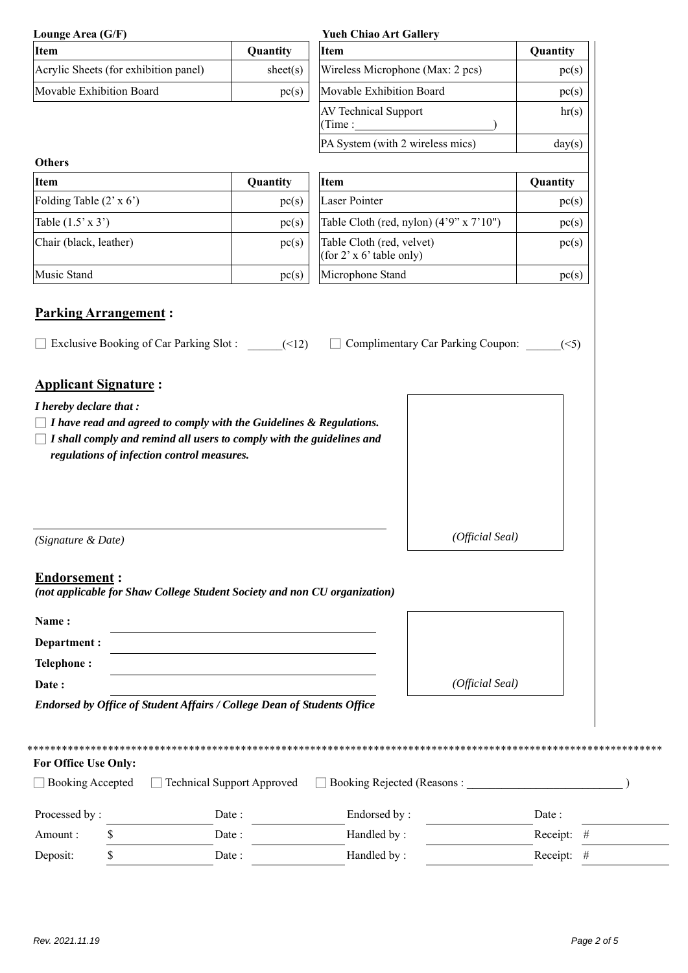| Lounge Area (G/F)                                                                                                        |                                            | <b>Yueh Chiao Art Gallery</b>                         |            |
|--------------------------------------------------------------------------------------------------------------------------|--------------------------------------------|-------------------------------------------------------|------------|
| <b>Item</b>                                                                                                              | Quantity                                   | Item                                                  | Quantity   |
| Acrylic Sheets (for exhibition panel)                                                                                    | sheet(s)                                   | Wireless Microphone (Max: 2 pcs)                      | pc(s)      |
| Movable Exhibition Board                                                                                                 | pc(s)                                      | Movable Exhibition Board                              | pc(s)      |
|                                                                                                                          |                                            | AV Technical Support<br>(Time : $\mathbf{\_}$         | hr(s)      |
|                                                                                                                          |                                            | PA System (with 2 wireless mics)                      | day(s)     |
| <b>Others</b><br><b>Item</b>                                                                                             | Quantity                                   | Item                                                  | Quantity   |
| Folding Table (2' x 6')                                                                                                  | pc(s)                                      | Laser Pointer                                         | pc(s)      |
| Table $(1.5' \times 3')$                                                                                                 | pc(s)                                      | Table Cloth (red, nylon) $(4'9'' \times 7'10'')$      | pc(s)      |
| Chair (black, leather)                                                                                                   | pc(s)                                      | Table Cloth (red, velvet)<br>(for 2' x 6' table only) | pc(s)      |
| Music Stand                                                                                                              | pc(s)                                      | Microphone Stand                                      | pc(s)      |
| regulations of infection control measures.                                                                               |                                            |                                                       |            |
| (Signature & Date)                                                                                                       |                                            | (Official Seal)                                       |            |
| <b>Endorsement:</b><br>(not applicable for Shaw College Student Society and non CU organization)<br>Name:<br>Department: |                                            |                                                       |            |
| <b>Telephone:</b>                                                                                                        |                                            |                                                       |            |
| Date:                                                                                                                    |                                            | (Official Seal)                                       |            |
| Endorsed by Office of Student Affairs / College Dean of Students Office                                                  |                                            |                                                       |            |
| For Office Use Only:<br><b>Booking Accepted</b><br>Processed by:                                                         | <b>Technical Support Approved</b><br>Date: | Booking Rejected (Reasons:<br>Endorsed by:            | Date:      |
| \$<br>Amount:                                                                                                            | Date:                                      | Handled by:                                           | Receipt: # |
| Deposit:<br>\$                                                                                                           | Date:                                      | Handled by:                                           | Receipt: # |

 $\overline{\phantom{0}}$  $\overline{\phantom{a}}$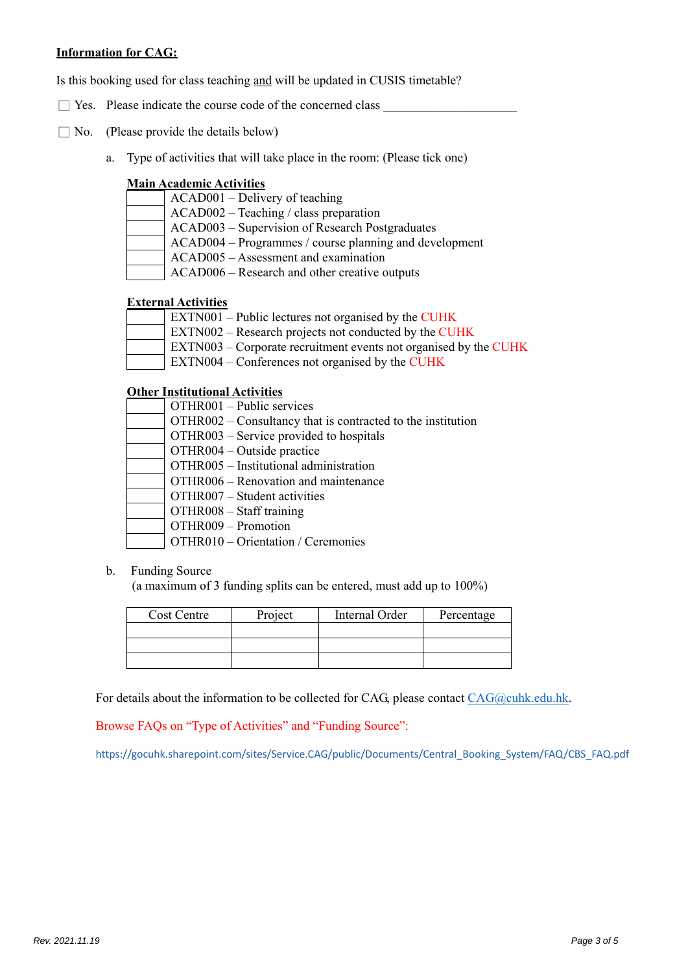## **Information for CAG:**

Is this booking used for class teaching and will be updated in CUSIS timetable?

- $\Box$  Yes. Please indicate the course code of the concerned class
- $\Box$  No. (Please provide the details below)
	- a. Type of activities that will take place in the room: (Please tick one)

#### **Main Academic Activities**

- ACAD001 Delivery of teaching
- ACAD002 Teaching / class preparation
- ACAD003 Supervision of Research Postgraduates
	- ACAD004 Programmes / course planning and development
- ACAD005 Assessment and examination
- ACAD006 Research and other creative outputs

## **External Activities**

- EXTN001 Public lectures not organised by the CUHK
- EXTN002 Research projects not conducted by the CUHK
- EXTN003 Corporate recruitment events not organised by the CUHK
- EXTN004 Conferences not organised by the CUHK

## **Other Institutional Activities**

| OTHR001 - Public services                                   |
|-------------------------------------------------------------|
| OTHR002 – Consultancy that is contracted to the institution |
| OTHR003 – Service provided to hospitals                     |
| $OTHR004 - Outside practice$                                |
| OTHR005 - Institutional administration                      |
| OTHR006 – Renovation and maintenance                        |
| OTHR007 – Student activities                                |
| $OTHR008 - Staff training$                                  |
| OTHR009 - Promotion                                         |
|                                                             |

OTHR010 – Orientation / Ceremonies

#### b. Funding Source

(a maximum of 3 funding splits can be entered, must add up to 100%)

| Cost Centre | Project | Internal Order | Percentage |
|-------------|---------|----------------|------------|
|             |         |                |            |
|             |         |                |            |
|             |         |                |            |

For details about the information to be collected for CAG, please contact  $CAG@cuhk.edu.hk$ .

Browse FAQs on "Type of Activities" and "Funding Source":

https://gocuhk.sharepoint.com/sites/Service.CAG/public/Documents/Central\_Booking\_System/FAQ/CBS\_FAQ.pdf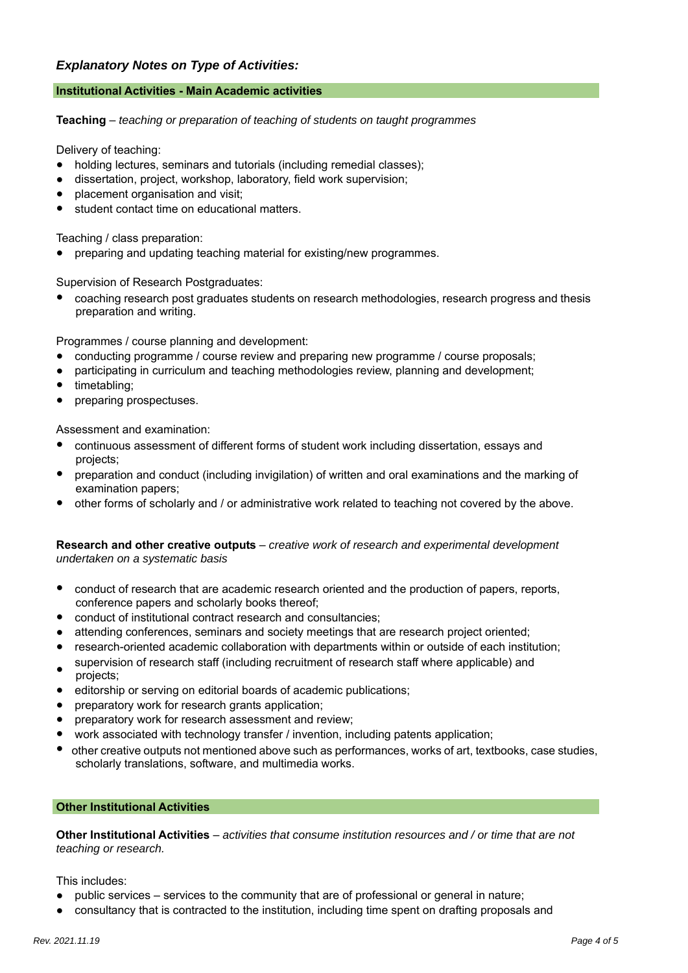# *Explanatory Notes on Type of Activities:*

## **Institutional Activities - Main Academic activities**

**Teaching** – *teaching or preparation of teaching of students on taught programmes*

Delivery of teaching:

- holding lectures, seminars and tutorials (including remedial classes);
- dissertation, project, workshop, laboratory, field work supervision;
- placement organisation and visit;
- student contact time on educational matters.

Teaching / class preparation:

preparing and updating teaching material for existing/new programmes.

Supervision of Research Postgraduates:

● coaching research post graduates students on research methodologies, research progress and thesis preparation and writing.

Programmes / course planning and development:

- conducting programme / course review and preparing new programme / course proposals;
- participating in curriculum and teaching methodologies review, planning and development;
- timetabling;
- preparing prospectuses.

Assessment and examination:

- continuous assessment of different forms of student work including dissertation, essays and projects;
- preparation and conduct (including invigilation) of written and oral examinations and the marking of examination papers;
- other forms of scholarly and / or administrative work related to teaching not covered by the above.

#### **Research and other creative outputs** – *creative work of research and experimental development undertaken on a systematic basis*

- conduct of research that are academic research oriented and the production of papers, reports, conference papers and scholarly books thereof;
- conduct of institutional contract research and consultancies;
- attending conferences, seminars and society meetings that are research project oriented;
- research-oriented academic collaboration with departments within or outside of each institution; supervision of research staff (including recruitment of research staff where applicable) and
- projects;
- editorship or serving on editorial boards of academic publications;
- preparatory work for research grants application;
- preparatory work for research assessment and review;
- work associated with technology transfer / invention, including patents application;
- other creative outputs not mentioned above such as performances, works of art, textbooks, case studies, scholarly translations, software, and multimedia works.

#### **Other Institutional Activities**

**Other Institutional Activities** – *activities that consume institution resources and / or time that are not teaching or research.*

This includes:

- public services services to the community that are of professional or general in nature;
- consultancy that is contracted to the institution, including time spent on drafting proposals and